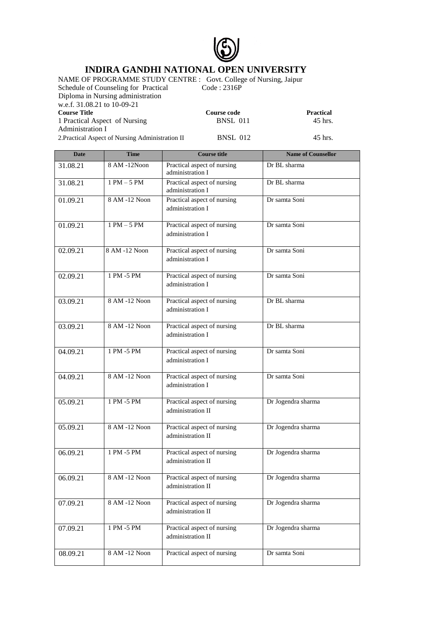

## **INDIRA GANDHI NATIONAL OPEN UNIVERSITY**

NAME OF PROGRAMME STUDY CENTRE : Govt. College of Nursing, Jaipur<br>Schedule of Counseling for Practical Code : 2316P

Schedule of Counseling for Practical Diploma in Nursing administration w.e.f. 31.08.21 to 10-09-21<br>Course Title

1 Practical Aspect of Nursing

Administration I

**Course code** Practical<br>BNSL 011 45 hrs.

2.Practical Aspect of Nursing Administration II BNSL 012 45 hrs.

| <b>Date</b> | <b>Time</b>    | <b>Course title</b>                              | <b>Name of Counsellor</b> |
|-------------|----------------|--------------------------------------------------|---------------------------|
| 31.08.21    | 8 AM -12Noon   | Practical aspect of nursing<br>administration I  | Dr BL sharma              |
| 31.08.21    | $1$ PM $-5$ PM | Practical aspect of nursing<br>administration I  | Dr BL sharma              |
| 01.09.21    | 8 AM -12 Noon  | Practical aspect of nursing<br>administration I  | Dr samta Soni             |
| 01.09.21    | $1$ PM $-5$ PM | Practical aspect of nursing<br>administration I  | Dr samta Soni             |
| 02.09.21    | 8 AM -12 Noon  | Practical aspect of nursing<br>administration I  | Dr samta Soni             |
| 02.09.21    | 1 PM -5 PM     | Practical aspect of nursing<br>administration I  | Dr samta Soni             |
| 03.09.21    | 8 AM -12 Noon  | Practical aspect of nursing<br>administration I  | Dr BL sharma              |
| 03.09.21    | 8 AM -12 Noon  | Practical aspect of nursing<br>administration I  | Dr BL sharma              |
| 04.09.21    | $1$ PM -5 PM   | Practical aspect of nursing<br>administration I  | Dr samta Soni             |
| 04.09.21    | 8 AM -12 Noon  | Practical aspect of nursing<br>administration I  | Dr samta Soni             |
| 05.09.21    | 1 PM -5 PM     | Practical aspect of nursing<br>administration II | Dr Jogendra sharma        |
| 05.09.21    | 8 AM -12 Noon  | Practical aspect of nursing<br>administration II | Dr Jogendra sharma        |
| 06.09.21    | $1$ PM -5 PM   | Practical aspect of nursing<br>administration II | Dr Jogendra sharma        |
| 06.09.21    | 8 AM -12 Noon  | Practical aspect of nursing<br>administration II | Dr Jogendra sharma        |
| 07.09.21    | 8 AM -12 Noon  | Practical aspect of nursing<br>administration II | Dr Jogendra sharma        |
| 07.09.21    | 1 PM -5 PM     | Practical aspect of nursing<br>administration II | Dr Jogendra sharma        |
| 08.09.21    | 8 AM -12 Noon  | Practical aspect of nursing                      | Dr samta Soni             |